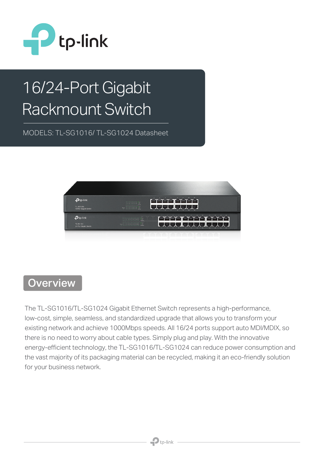

# 16/24-Port Gigabit Rackmount Switch

MODELS: TL-SG1016/ TL-SG1024 Datasheet



#### **Overview**

The TL-SG1016/TL-SG1024 Gigabit Ethernet Switch represents a high-performance, low-cost, simple, seamless, and standardized upgrade that allows you to transform your existing network and achieve 1000Mbps speeds. All 16/24 ports support auto MDI/MDIX, so there is no need to worry about cable types. Simply plug and play. With the innovative energy-efficient technology, the TL-SG1016/TL-SG1024 can reduce power consumption and the vast majority of its packaging material can be recycled, making it an eco-friendly solution for your business network.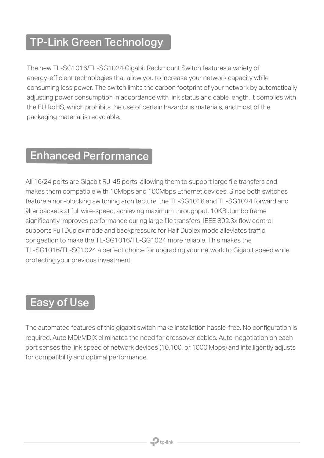### TP-Link Green Technology

The new TL-SG1016/TL-SG1024 Gigabit Rackmount Switch features a variety of energy-efficient technologies that allow you to increase your network capacity while consuming less power. The switch limits the carbon footprint of your network by automatically adjusting power consumption in accordance with link status and cable length. It complies with the EU RoHS, which prohibits the use of certain hazardous materials, and most of the packaging material is recyclable.

#### Enhanced Performance

All 16/24 ports are Gigabit RJ-45 ports, allowing them to support large file transfers and makes them compatible with 10Mbps and 100Mbps Ethernet devices. Since both switches feature a non-blocking switching architecture, the TL-SG1016 and TL-SG1024 forward and ÿlter packets at full wire-speed, achieving maximum throughput. 10KB Jumbo frame significantly improves performance during large file transfers. IEEE 802.3x flow control supports Full Duplex mode and backpressure for Half Duplex mode alleviates traffic congestion to make the TL-SG1016/TL-SG1024 more reliable. This makes the TL-SG1016/TL-SG1024 a perfect choice for upgrading your network to Gigabit speed while protecting your previous investment.

#### Easy of Use

The automated features of this gigabit switch make installation hassle-free. No configuration is required. Auto MDI/MDIX eliminates the need for crossover cables. Auto-negotiation on each port senses the link speed of network devices (10,100, or 1000 Mbps) and intelligently adjusts for compatibility and optimal performance.